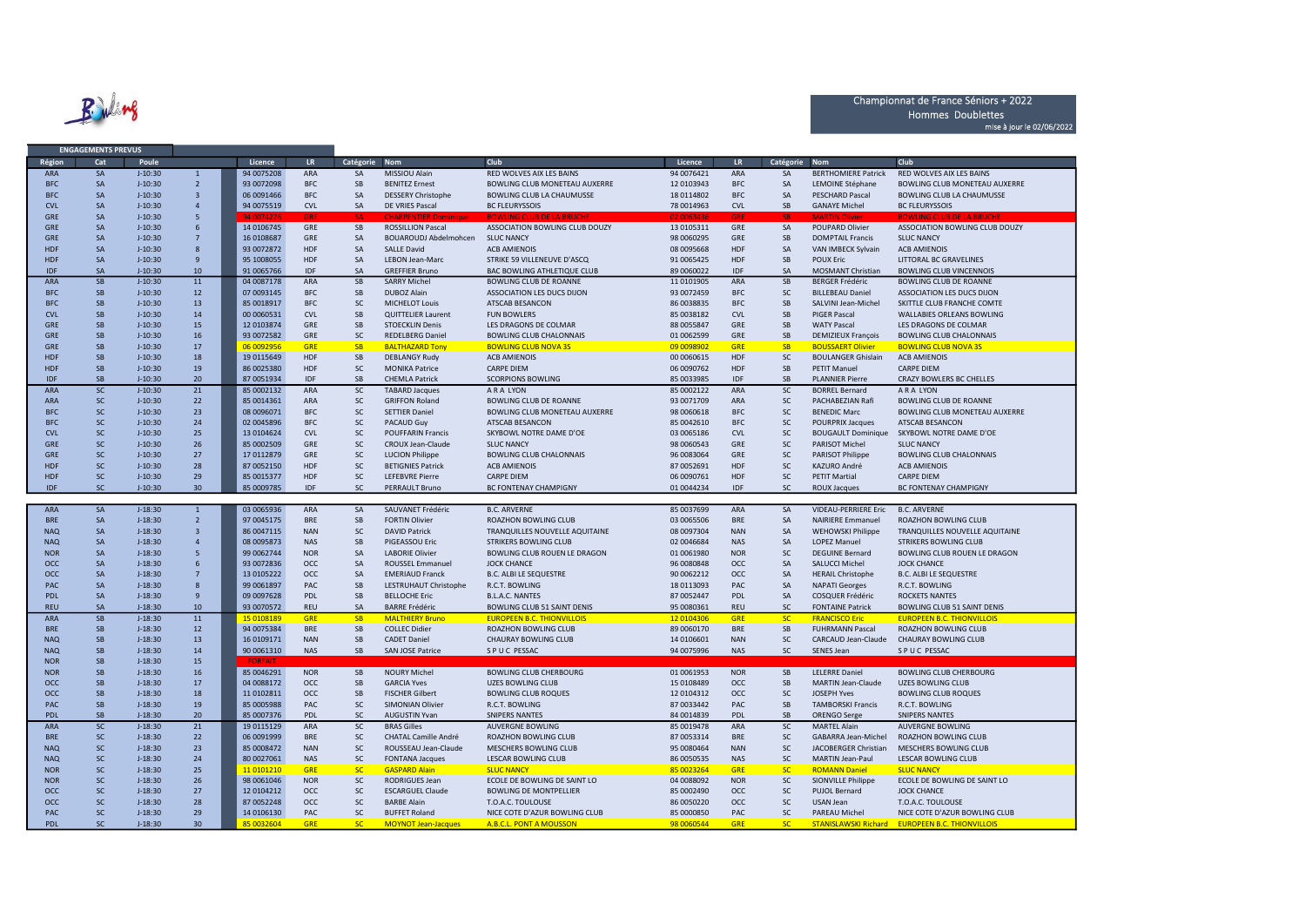Ruling

**ENGAGEMENTS PREVUS** 

## Championnat de France Séniors + 2022 Hommes Doublettes mise à jour le 02/06/2022

| Région     | Cat                    | Poule                  |                         | Licence                  | LR                | Catégorie              | <b>Nom</b>                                         | Club                                                     | Licence                  | LR.               | Catégorie              | <b>Nom</b>                  | Club                                                                             |
|------------|------------------------|------------------------|-------------------------|--------------------------|-------------------|------------------------|----------------------------------------------------|----------------------------------------------------------|--------------------------|-------------------|------------------------|-----------------------------|----------------------------------------------------------------------------------|
|            |                        |                        |                         |                          |                   |                        |                                                    |                                                          |                          |                   |                        |                             |                                                                                  |
| <b>ARA</b> | SA                     | $J-10:30$              | $\overline{1}$          | 94 0075208               | ARA               | SA                     | MISSIOU Alain                                      | RED WOLVES AIX LES BAINS                                 | 94 0076421               | <b>ARA</b>        | SA                     | <b>BERTHOMIERE Patrick</b>  | RED WOLVES AIX LES BAINS                                                         |
| <b>BFC</b> | SA                     | $J - 10:30$            | $\overline{2}$          | 93 0072098               | <b>BFC</b>        | SB                     | <b>BENITEZ Ernest</b>                              | BOWLING CLUB MONETEAU AUXERRE                            | 12 0103943               | <b>BFC</b>        | SA                     | LEMOINE Stéphane            | BOWLING CLUB MONETEAU AUXERRE                                                    |
| <b>BFC</b> | SA                     | $J-10:30$              | $\overline{3}$          | 06 0091466               | <b>BFC</b>        | SA                     | <b>DESSERY Christophe</b>                          | <b>BOWLING CLUB LA CHAUMUSSE</b>                         | 18 0114802               | <b>BFC</b>        | SA                     | PESCHARD Pascal             | <b>BOWLING CLUB LA CHAUMUSSE</b>                                                 |
| <b>CVL</b> | SA                     | $J-10:30$              | $\overline{4}$          | 94 0075519               | <b>CVL</b>        | <b>SA</b>              | DE VRIES Pascal                                    | <b>BC FLEURYSSOIS</b>                                    | 78 0014963               | <b>CVL</b>        | <b>SB</b>              | <b>GANAYE Michel</b>        | <b>BC FLEURYSSOIS</b>                                                            |
| GRE        | SA                     | $J-10:30$              | 5                       | 94.007422                | GRI               |                        | CHARD                                              | <b>BOWLING CLUB DE LA BRUCH</b>                          | 02.006343                |                   |                        |                             | <b>BOWLING CLUB DE LA BRUCH</b>                                                  |
|            |                        |                        |                         |                          |                   |                        |                                                    |                                                          |                          |                   |                        |                             |                                                                                  |
| GRE        | SA                     | $J-10:30$              | 6                       | 14 0106745               | GRE               | SB                     | <b>ROSSILLION Pascal</b>                           | ASSOCIATION BOWLING CLUB DOUZY                           | 13 0105311               | GRE               | SA                     | POUPARD Olivier             | ASSOCIATION BOWLING CLUB DOUZY                                                   |
| <b>GRE</b> | SA                     | $J-10:30$              | $7\overline{ }$         | 16 0108687               | GRE               | <b>SA</b>              | BOUAROUDJ Abdelmohcen                              | <b>SLUC NANCY</b>                                        | 98 0060295               | GRE               | SB                     | <b>DOMPTAIL Francis</b>     | <b>SLUC NANCY</b>                                                                |
| <b>HDF</b> | SA                     | $J-10:30$              | 8                       | 93 0072872               | <b>HDF</b>        | SA                     | <b>SALLE David</b>                                 | <b>ACB AMIENOIS</b>                                      | 08 0095668               | HDF               | SA                     | VAN IMBECK Sylvain          | <b>ACB AMIENOIS</b>                                                              |
| <b>HDF</b> | SA                     | $J-10:30$              | 9                       | 95 1008055               | <b>HDF</b>        | <b>SA</b>              | <b>LEBON Jean-Marc</b>                             | STRIKE 59 VILLENEUVE D'ASCQ                              | 91 0065425               | HDF               | SB                     | <b>POUX Eric</b>            | LITTORAL BC GRAVELINES                                                           |
| <b>IDF</b> | SA                     | $J-10:30$              | 10                      | 91 0065766               | <b>IDF</b>        | <b>SA</b>              | <b>GREFFIER Bruno</b>                              | <b>BAC BOWLING ATHLETIQUE CLUB</b>                       | 89 0060022               | IDF               | SA                     | <b>MOSMANT Christian</b>    | <b>BOWLING CLUB VINCENNOIS</b>                                                   |
| <b>ARA</b> | SB                     | $J - 10:30$            | 11                      | 04 0087178               | <b>ARA</b>        | SB                     | <b>SARRY Michel</b>                                | <b>BOWLING CLUB DE ROANNE</b>                            | 11 0101905               | ARA               | SB                     | <b>BERGER Frédéric</b>      | <b>BOWLING CLUB DE ROANNE</b>                                                    |
|            |                        |                        |                         |                          |                   |                        |                                                    |                                                          |                          |                   |                        |                             |                                                                                  |
| <b>BFC</b> | SB                     | $J-10:30$              | 12                      | 07 0093145               | <b>BFC</b>        | SB                     | <b>DUBOZ Alain</b>                                 | ASSOCIATION LES DUCS DIJON                               | 93 0072459               | <b>BFC</b>        | SC                     | <b>BILLEBEAU Daniel</b>     | ASSOCIATION LES DUCS DIJON                                                       |
| <b>BFC</b> | <b>SB</b>              | $J - 10:30$            | 13                      | 85 0018917               | <b>BFC</b>        | <b>SC</b>              | <b>MICHELOT Louis</b>                              | <b>ATSCAB BESANCON</b>                                   | 86 0038835               | <b>BFC</b>        | SB                     | SALVINI Jean-Michel         | SKITTLE CLUB FRANCHE COMTE                                                       |
| <b>CVL</b> | SB                     | $J-10:30$              | 14                      | 00 0060531               | <b>CVL</b>        | <b>SB</b>              | <b>QUITTELIER Laurent</b>                          | <b>FUN BOWLERS</b>                                       | 85 0038182               | <b>CVL</b>        | SB                     | <b>PIGER Pascal</b>         | WALLABIES ORLEANS BOWLING                                                        |
| <b>GRE</b> | SB                     | $J-10:30$              | 15                      | 12 0103874               | GRE               | SB                     | <b>STOECKLIN Denis</b>                             | LES DRAGONS DE COLMAR                                    | 88 0055847               | GRE               | SB                     | <b>WATY Pascal</b>          | LES DRAGONS DE COLMAR                                                            |
| <b>GRE</b> | SB                     | $J-10:30$              | 16                      | 93 0072582               | GRE               | <b>SC</b>              | <b>REDELBERG Daniel</b>                            | <b>BOWLING CLUB CHALONNAIS</b>                           | 01 0062599               | GRE               | SB                     | <b>DEMIZIEUX François</b>   | <b>BOWLING CLUB CHALONNAIS</b>                                                   |
| <b>GRE</b> | SB                     | $J-10:30$              | 17                      | 06 0092956               | <b>GRE</b>        | <b>SB</b>              | <b>BALTHAZARD Tony</b>                             | <b>BOWLING CLUB NOVA 3S</b>                              | 09 0098902               | <b>GRE</b>        | <b>SB</b>              | <b>BOUSSAERT Olivier</b>    | <b>BOWLING CLUB NOVA 3S</b>                                                      |
| <b>HDF</b> | SB                     | $J-10:30$              | 18                      | 19 0115649               | <b>HDF</b>        | SB                     | <b>DEBLANGY Rudy</b>                               | <b>ACB AMIENOIS</b>                                      | 00 00 60 615             | HDF               | SC                     | <b>BOULANGER Ghislain</b>   | <b>ACB AMIENOIS</b>                                                              |
|            |                        |                        |                         |                          |                   |                        |                                                    |                                                          |                          |                   |                        |                             |                                                                                  |
| <b>HDF</b> | SB                     | $J-10:30$              | 19                      | 86 0025380               | <b>HDF</b>        | <b>SC</b>              | <b>MONIKA Patrice</b>                              | <b>CARPE DIEM</b>                                        | 06 0090762               | HDF               | SB                     | PETIT Manuel                | <b>CARPE DIEM</b>                                                                |
| <b>IDF</b> | SB                     | $J-10:30$              | 20                      | 87 0051934               | <b>IDF</b>        | <b>SB</b>              | <b>CHEMLA Patrick</b>                              | <b>SCORPIONS BOWLING</b>                                 | 85 0033985               | IDF               | SB                     | <b>PLANNIER Pierre</b>      | CRAZY BOWLERS BC CHELLES                                                         |
| <b>ARA</b> | <b>SC</b>              | $J-10:30$              | 21                      | 85 0002132               | ARA               | <b>SC</b>              | <b>TABARD Jacques</b>                              | <b>ARALYON</b>                                           | 85 0002122               | ARA               | SC                     | <b>BORREL Bernard</b>       | <b>ARA LYON</b>                                                                  |
| <b>ARA</b> | <b>SC</b>              | $J-10:30$              | 22                      | 85 0014361               | <b>ARA</b>        | <b>SC</b>              | <b>GRIFFON Roland</b>                              | <b>BOWLING CLUB DE ROANNE</b>                            | 93 0071709               | <b>ARA</b>        | SC                     | PACHABEZIAN Rafi            | BOWLING CLUB DE ROANNE                                                           |
| <b>BFC</b> | <b>SC</b>              | $J - 10:30$            | 23                      | 08 009 6071              | <b>BFC</b>        | <b>SC</b>              | <b>SETTIER Daniel</b>                              | BOWLING CLUB MONETEAU AUXERRE                            | 98 0060618               | <b>BFC</b>        | SC                     | <b>BENEDIC Marc</b>         | <b>BOWLING CLUB MONETEAU AUXERRE</b>                                             |
| <b>BFC</b> | <b>SC</b>              | $J-10:30$              | 24                      | 02 0045896               | <b>BFC</b>        | <b>SC</b>              | <b>PACAUD Guy</b>                                  | ATSCAB BESANCON                                          | 85 0042610               | <b>BFC</b>        | SC                     | POURPRIX Jacques            | ATSCAB BESANCON                                                                  |
|            |                        |                        |                         |                          |                   |                        |                                                    |                                                          |                          |                   |                        |                             |                                                                                  |
| <b>CVL</b> | <b>SC</b>              | $J-10:30$              | 25                      | 13 0104624               | <b>CVL</b>        | SC                     | <b>POUFFARIN Francis</b>                           | SKYBOWL NOTRE DAME D'OE                                  | 03 0065186               | <b>CVL</b>        | SC                     | <b>BOUGAULT Dominique</b>   | SKYBOWL NOTRE DAME D'OE                                                          |
| <b>GRE</b> | <b>SC</b>              | $J-10:30$              | 26                      | 85 0002509               | GRE               | <b>SC</b>              | CROUX Jean-Claude                                  | <b>SLUC NANCY</b>                                        | 98 0060543               | GRE               | SC                     | PARISOT Michel              | <b>SLUC NANCY</b>                                                                |
| <b>GRE</b> | <b>SC</b>              | $J-10:30$              | 27                      | 17 0112879               | GRE               | <b>SC</b>              | <b>LUCION Philippe</b>                             | <b>BOWLING CLUB CHALONNAIS</b>                           | 96 0083064               | GRE               | SC                     | PARISOT Philippe            | <b>BOWLING CLUB CHALONNAIS</b>                                                   |
| <b>HDF</b> | <sub>SC</sub>          | $J-10:30$              | 28                      | 87 0052150               | <b>HDF</b>        | <b>SC</b>              | <b>BETIGNIES Patrick</b>                           | <b>ACB AMIENOIS</b>                                      | 87 0052691               | HDF               | <b>SC</b>              | KAZURO André                | <b>ACB AMIENOIS</b>                                                              |
| <b>HDF</b> | <b>SC</b>              | $J-10:30$              | 29                      | 85 0015377               | <b>HDF</b>        | <b>SC</b>              | <b>LEFEBVRE Pierre</b>                             | <b>CARPE DIEM</b>                                        | 06 0090761               | HDF               | SC                     | <b>PETIT Martial</b>        | <b>CARPE DIEM</b>                                                                |
| <b>IDF</b> | <b>SC</b>              | $J-10:30$              | 30                      | 85 0009785               | <b>IDF</b>        | SC                     | <b>PERRAULT Bruno</b>                              | <b>BC FONTENAY CHAMPIGNY</b>                             | 01 0044234               | <b>IDF</b>        | SC                     | <b>ROUX Jacques</b>         | <b>BC FONTENAY CHAMPIGNY</b>                                                     |
|            |                        |                        |                         |                          |                   |                        |                                                    |                                                          |                          |                   |                        |                             |                                                                                  |
| ARA        | SA                     | $J-18:30$              | 1                       | 03 0065936               | ARA               |                        | SAUVANET Frédéric                                  | <b>B.C. ARVERNE</b>                                      |                          | ARA               |                        | <b>VIDEAU-PERRIERE Eric</b> | <b>B.C. ARVERNE</b>                                                              |
|            |                        |                        |                         |                          |                   | SA                     |                                                    |                                                          | 85 0037699               |                   | SA                     |                             |                                                                                  |
| <b>BRE</b> | SA                     | $J-18:30$              | $\overline{2}$          | 97 0045175               | <b>BRE</b>        | SB                     | <b>FORTIN Olivier</b>                              | ROAZHON BOWLING CLUB                                     | 03 0065506               | <b>BRE</b>        | SA                     | <b>NAIRIERE Emmanuel</b>    | ROAZHON BOWLING CLUB                                                             |
| <b>NAQ</b> | SA                     | $J-18:30$              | $\overline{\mathbf{3}}$ | 86 0047115               | <b>NAN</b>        | <b>SC</b>              | <b>DAVID Patrick</b>                               | TRANQUILLES NOUVELLE AQUITAINE                           | 08 0097304               | <b>NAN</b>        | SA                     | <b>WEHOWSKI Philippe</b>    | TRANQUILLES NOUVELLE AQUITAINE                                                   |
| <b>NAQ</b> |                        |                        | $\overline{a}$          | 08 0095873               |                   |                        |                                                    |                                                          |                          |                   |                        | <b>LOPEZ Manuel</b>         |                                                                                  |
|            | SA                     | $J-18:30$              |                         |                          | <b>NAS</b>        | SB                     | PIGEASSOU Eric                                     | <b>STRIKERS BOWLING CLUB</b>                             | 02 0046684               | <b>NAS</b>        | SA                     |                             | <b>STRIKERS BOWLING CLUB</b>                                                     |
| <b>NOR</b> | SA                     | $J-18:30$              | 5                       | 99 0062744               | <b>NOR</b>        | SA                     | <b>LABORIE Olivier</b>                             | BOWLING CLUB ROUEN LE DRAGON                             | 01 0061980               | <b>NOR</b>        | SC                     | <b>DEGUINE Bernard</b>      | BOWLING CLUB ROUEN LE DRAGON                                                     |
|            |                        |                        |                         |                          |                   |                        |                                                    |                                                          |                          |                   |                        |                             |                                                                                  |
| <b>OCC</b> | SA                     | $J-18:30$              | 6                       | 93 0072836               | $_{\rm occ}$      | SA                     | ROUSSEL Emmanuel                                   | <b>JOCK CHANCE</b>                                       | 96 0080848               | <b>OCC</b>        | SA                     | SALUCCI Michel              | <b>JOCK CHANCE</b>                                                               |
| <b>OCC</b> | SA                     | $J-18:30$              | $\overline{7}$          | 13 0105222               | <b>OCC</b>        | SA                     | <b>EMERIAUD Franck</b>                             | <b>B.C. ALBI LE SEQUESTRE</b>                            | 90 0062212               | <b>OCC</b>        | SA                     | <b>HERAIL Christophe</b>    | <b>B.C. ALBI LE SEQUESTRE</b>                                                    |
| PAC        | SA                     | $J-18:30$              | 8                       | 99 0061897               | PAC               | SB                     | LESTRUHAUT Christophe                              | R.C.T. BOWLING                                           | 18 0113093               | PAC               | SA                     | <b>NAPATI Georges</b>       | R.C.T. BOWLING                                                                   |
| PDL        | SA                     | $J-18:30$              | $\overline{9}$          | 09 0097628               | PDL               | SB                     | <b>BELLOCHE Eric</b>                               | <b>B.L.A.C. NANTES</b>                                   | 87 0052447               | PDL               | SA                     | COSQUER Frédéric            | <b>ROCKETS NANTES</b>                                                            |
| <b>REU</b> | <b>SA</b>              | $J-18:30$              | 10                      | 93 0070572               | <b>REU</b>        | <b>SA</b>              | <b>BARRE Frédéric</b>                              | BOWLING CLUB 51 SAINT DENIS                              | 95 0080361               | <b>REU</b>        | <b>SC</b>              | <b>FONTAINE Patrick</b>     | <b>BOWLING CLUB 51 SAINT DENIS</b>                                               |
| ARA        | SB                     | $J-18:30$              | 11                      | 15 0108189               | <b>GRE</b>        | <b>SB</b>              | <b>MALTHIERY Bruno</b>                             | <b>EUROPEEN B.C. THIONVILLOIS</b>                        | 12 0104306               | <b>GRE</b>        | <b>SC</b>              | <b>FRANCISCO Eric</b>       | <b>EUROPEEN B.C. THIONVILLOIS</b>                                                |
| <b>BRE</b> |                        |                        |                         |                          | <b>BRE</b>        |                        |                                                    |                                                          |                          | <b>BRE</b>        |                        |                             |                                                                                  |
|            | SB                     | $J-18:30$              | 12                      | 94 0075384               |                   | SB                     | <b>COLLEC Didier</b>                               | ROAZHON BOWLING CLUB                                     | 89 0060170               |                   | SB                     | <b>FUHRMANN Pascal</b>      | ROAZHON BOWLING CLUB                                                             |
| <b>NAQ</b> | SB                     | $J-18:30$              | 13                      | 16 0109171               | <b>NAN</b>        | <b>SB</b>              | <b>CADET Daniel</b>                                | <b>CHAURAY BOWLING CLUB</b>                              | 14 0106601               | <b>NAN</b>        | SC                     | CARCAUD Jean-Claude         | <b>CHAURAY BOWLING CLUB</b>                                                      |
| <b>NAQ</b> | SB                     | $J-18:30$              | 14                      | 90 0061310               | <b>NAS</b>        | SB                     | SAN JOSE Patrice                                   | SPUC PESSAC                                              | 94 0075996               | <b>NAS</b>        | SC                     | SENES Jean                  | S P U C PESSAC                                                                   |
| <b>NOR</b> | SB                     | $J-18:30$              | 15                      |                          |                   |                        |                                                    |                                                          |                          |                   |                        |                             |                                                                                  |
| <b>NOR</b> | SB                     | $J-18:30$              | 16                      | 85 0046291               | <b>NOR</b>        | SB                     | <b>NOURY Michel</b>                                | <b>BOWLING CLUB CHERBOURG</b>                            | 01 0061953               | <b>NOR</b>        | $\mathsf{S}\mathsf{B}$ | <b>LELERRE Daniel</b>       | <b>BOWLING CLUB CHERBOURG</b>                                                    |
| OCC        | SB                     | $J-18:30$              | 17                      | 04 0088172               | <b>OCC</b>        | SB                     | <b>GARCIA Yves</b>                                 | <b>UZES BOWLING CLUB</b>                                 | 15 0108489               | <b>OCC</b>        | SB                     | MARTIN Jean-Claude          | <b>UZES BOWLING CLUB</b>                                                         |
| <b>OCC</b> | SB                     | $J-18:30$              | 18                      | 11 0102811               | OCC               | SB                     | <b>FISCHER Gilbert</b>                             | <b>BOWLING CLUB ROQUES</b>                               | 12 0104312               | <b>OCC</b>        | SC                     | JOSEPH Yves                 | <b>BOWLING CLUB ROQUES</b>                                                       |
|            |                        |                        |                         |                          |                   |                        |                                                    |                                                          |                          |                   |                        |                             |                                                                                  |
| PAC        | SB                     | $J-18:30$              | 19                      | 85 0005988               | PAC               | <b>SC</b>              | <b>SIMONIAN Olivier</b>                            | R.C.T. BOWLING                                           | 87 0033442               | PAC               | SB                     | <b>TAMBORSKI Francis</b>    | R.C.T. BOWLING                                                                   |
| <b>PDL</b> | SB                     | $J-18:30$              | 20                      | 85 0007376               | PDL               | <b>SC</b>              | <b>AUGUSTIN Yvan</b>                               | <b>SNIPERS NANTES</b>                                    | 84 0014839               | PDL               | SB                     | <b>ORENGO Serge</b>         | <b>SNIPERS NANTES</b>                                                            |
| ARA        | <b>SC</b>              | $J-18:30$              | 21                      | 19 0115129               | ARA               | <b>SC</b>              | <b>BRAS Gilles</b>                                 | <b>AUVERGNE BOWLING</b>                                  | 85 0019478               | ARA               | SC                     | <b>MARTEL Alain</b>         | <b>AUVERGNE BOWLING</b>                                                          |
| <b>BRE</b> | <b>SC</b>              | $J-18:30$              | 22                      | 06 0091999               | <b>BRE</b>        | <b>SC</b>              | CHATAL Camille André                               | ROAZHON BOWLING CLUB                                     | 87 0053314               | <b>BRE</b>        | SC                     | GABARRA Jean-Michel         | ROAZHON BOWLING CLUB                                                             |
| <b>NAQ</b> | <b>SC</b>              | $J-18:30$              | 23                      | 85 0008472               | <b>NAN</b>        | <b>SC</b>              | ROUSSEAU Jean-Claude                               | MESCHERS BOWLING CLUB                                    | 95 0080464               | <b>NAN</b>        | SC                     | JACOBERGER Christian        | MESCHERS BOWLING CLUB                                                            |
| <b>NAQ</b> | <b>SC</b>              | $J-18:30$              | 24                      | 80 0027061               | <b>NAS</b>        | <b>SC</b>              | <b>FONTANA Jacques</b>                             | <b>LESCAR BOWLING CLUB</b>                               | 86 0050535               | <b>NAS</b>        | SC                     | MARTIN Jean-Paul            | <b>LESCAR BOWLING CLUB</b>                                                       |
| <b>NOR</b> | <b>SC</b>              | $J-18:30$              | 25                      | 11 0101210               | <b>GRE</b>        | <b>SC</b>              | <b>GASPARD Alain</b>                               | <b>SLUC NANCY</b>                                        | 85 0023264               | <b>GRE</b>        | <b>SC</b>              | <b>ROMANN Daniel</b>        | <b>SLUC NANCY</b>                                                                |
|            |                        |                        |                         |                          |                   |                        |                                                    |                                                          |                          |                   |                        |                             |                                                                                  |
| <b>NOR</b> | <b>SC</b>              | $J-18:30$              | 26                      | 98 0061046               | <b>NOR</b>        | <b>SC</b>              | <b>RODRIGUES Jean</b>                              | ECOLE DE BOWLING DE SAINT LO                             | 04 0088092               | <b>NOR</b>        | SC                     | SIONVILLE Philippe          | ECOLE DE BOWLING DE SAINT LO                                                     |
| OCC        | <b>SC</b>              | $J-18:30$              | 27                      | 12 0104212               | <b>OCC</b>        | <b>SC</b>              | <b>ESCARGUEL Claude</b>                            | <b>BOWLING DE MONTPELLIER</b>                            | 85 0002490               | <b>OCC</b>        | <b>SC</b>              | <b>PUJOL Bernard</b>        | <b>JOCK CHANCE</b>                                                               |
| OCC        | <b>SC</b>              | $J-18:30$              | 28                      | 87 0052248               | <b>OCC</b>        | <b>SC</b>              | <b>BARBE Alain</b>                                 | T.O.A.C. TOULOUSE                                        | 86 0050220               | <b>OCC</b>        | <b>SC</b>              | USAN Jean                   | T.O.A.C. TOULOUSE                                                                |
| PAC<br>PDL | <b>SC</b><br><b>SC</b> | $J-18:30$<br>$J-18:30$ | 29<br>30                | 14 0106130<br>85 0032604 | PAC<br><b>GRE</b> | <b>SC</b><br><b>SC</b> | <b>BUFFET Roland</b><br><b>MOYNOT Jean-Jacques</b> | NICE COTE D'AZUR BOWLING CLUB<br>A.B.C.L. PONT A MOUSSON | 85 0000850<br>98 0060544 | PAC<br><b>GRE</b> | SC<br><b>SC</b>        | PAREAU Michel               | NICE COTE D'AZUR BOWLING CLUB<br>STANISLAWSKI Richard EUROPEEN B.C. THIONVILLOIS |